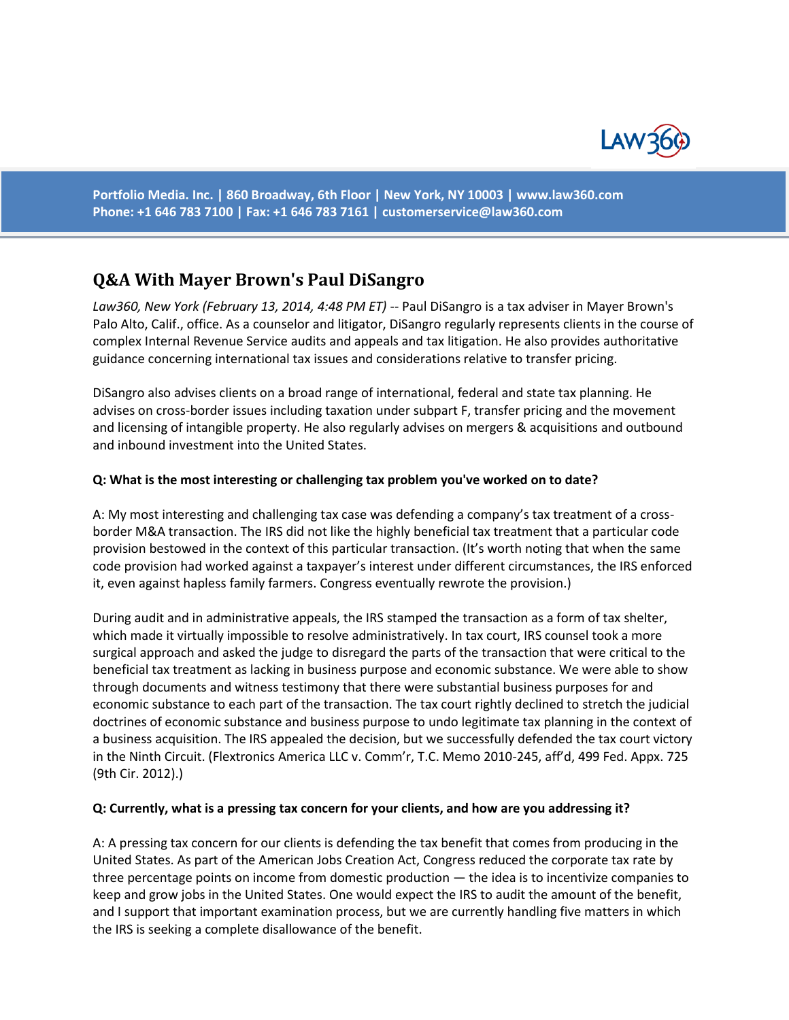

**Portfolio Media. Inc. | 860 Broadway, 6th Floor | New York, NY 10003 | www.law360.com Phone: +1 646 783 7100 | Fax: +1 646 783 7161 | [customerservice@law360.com](mailto:customerservice@law360.com)**

# **Q&A With Mayer Brown's Paul DiSangro**

*Law360, New York (February 13, 2014, 4:48 PM ET)* -- Paul DiSangro is a tax adviser in Mayer Brown's Palo Alto, Calif., office. As a counselor and litigator, DiSangro regularly represents clients in the course of complex Internal Revenue Service audits and appeals and tax litigation. He also provides authoritative guidance concerning international tax issues and considerations relative to transfer pricing.

DiSangro also advises clients on a broad range of international, federal and state tax planning. He advises on cross-border issues including taxation under subpart F, transfer pricing and the movement and licensing of intangible property. He also regularly advises on mergers & acquisitions and outbound and inbound investment into the United States.

### **Q: What is the most interesting or challenging tax problem you've worked on to date?**

A: My most interesting and challenging tax case was defending a company's tax treatment of a crossborder M&A transaction. The IRS did not like the highly beneficial tax treatment that a particular code provision bestowed in the context of this particular transaction. (It's worth noting that when the same code provision had worked against a taxpayer's interest under different circumstances, the IRS enforced it, even against hapless family farmers. Congress eventually rewrote the provision.)

During audit and in administrative appeals, the IRS stamped the transaction as a form of tax shelter, which made it virtually impossible to resolve administratively. In tax court, IRS counsel took a more surgical approach and asked the judge to disregard the parts of the transaction that were critical to the beneficial tax treatment as lacking in business purpose and economic substance. We were able to show through documents and witness testimony that there were substantial business purposes for and economic substance to each part of the transaction. The tax court rightly declined to stretch the judicial doctrines of economic substance and business purpose to undo legitimate tax planning in the context of a business acquisition. The IRS appealed the decision, but we successfully defended the tax court victory in the Ninth Circuit. (Flextronics America LLC v. Comm'r, T.C. Memo 2010-245, aff'd, 499 Fed. Appx. 725 (9th Cir. 2012).)

#### **Q: Currently, what is a pressing tax concern for your clients, and how are you addressing it?**

A: A pressing tax concern for our clients is defending the tax benefit that comes from producing in the United States. As part of the American Jobs Creation Act, Congress reduced the corporate tax rate by three percentage points on income from domestic production — the idea is to incentivize companies to keep and grow jobs in the United States. One would expect the IRS to audit the amount of the benefit, and I support that important examination process, but we are currently handling five matters in which the IRS is seeking a complete disallowance of the benefit.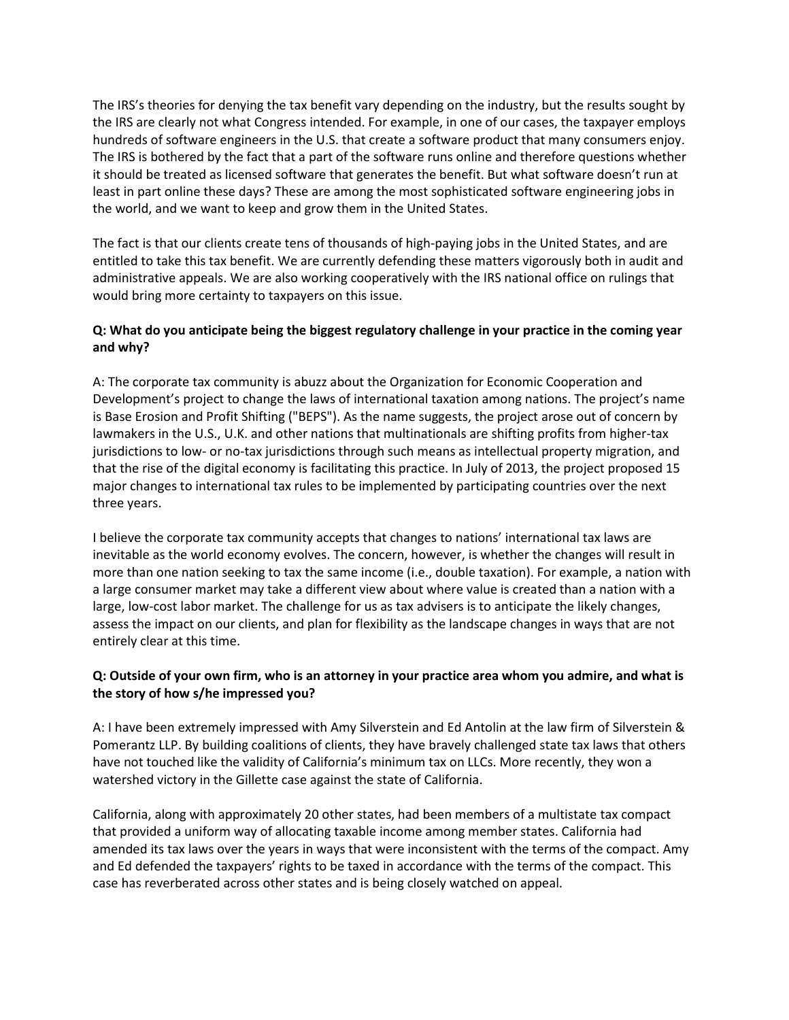The IRS's theories for denying the tax benefit vary depending on the industry, but the results sought by the IRS are clearly not what Congress intended. For example, in one of our cases, the taxpayer employs hundreds of software engineers in the U.S. that create a software product that many consumers enjoy. The IRS is bothered by the fact that a part of the software runs online and therefore questions whether it should be treated as licensed software that generates the benefit. But what software doesn't run at least in part online these days? These are among the most sophisticated software engineering jobs in the world, and we want to keep and grow them in the United States.

The fact is that our clients create tens of thousands of high-paying jobs in the United States, and are entitled to take this tax benefit. We are currently defending these matters vigorously both in audit and administrative appeals. We are also working cooperatively with the IRS national office on rulings that would bring more certainty to taxpayers on this issue.

## **Q: What do you anticipate being the biggest regulatory challenge in your practice in the coming year and why?**

A: The corporate tax community is abuzz about the Organization for Economic Cooperation and Development's project to change the laws of international taxation among nations. The project's name is Base Erosion and Profit Shifting ("BEPS"). As the name suggests, the project arose out of concern by lawmakers in the U.S., U.K. and other nations that multinationals are shifting profits from higher-tax jurisdictions to low- or no-tax jurisdictions through such means as intellectual property migration, and that the rise of the digital economy is facilitating this practice. In July of 2013, the project proposed 15 major changes to international tax rules to be implemented by participating countries over the next three years.

I believe the corporate tax community accepts that changes to nations' international tax laws are inevitable as the world economy evolves. The concern, however, is whether the changes will result in more than one nation seeking to tax the same income (i.e., double taxation). For example, a nation with a large consumer market may take a different view about where value is created than a nation with a large, low-cost labor market. The challenge for us as tax advisers is to anticipate the likely changes, assess the impact on our clients, and plan for flexibility as the landscape changes in ways that are not entirely clear at this time.

## **Q: Outside of your own firm, who is an attorney in your practice area whom you admire, and what is the story of how s/he impressed you?**

A: I have been extremely impressed with Amy Silverstein and Ed Antolin at the law firm of Silverstein & Pomerantz LLP. By building coalitions of clients, they have bravely challenged state tax laws that others have not touched like the validity of California's minimum tax on LLCs. More recently, they won a watershed victory in the Gillette case against the state of California.

California, along with approximately 20 other states, had been members of a multistate tax compact that provided a uniform way of allocating taxable income among member states. California had amended its tax laws over the years in ways that were inconsistent with the terms of the compact. Amy and Ed defended the taxpayers' rights to be taxed in accordance with the terms of the compact. This case has reverberated across other states and is being closely watched on appeal.